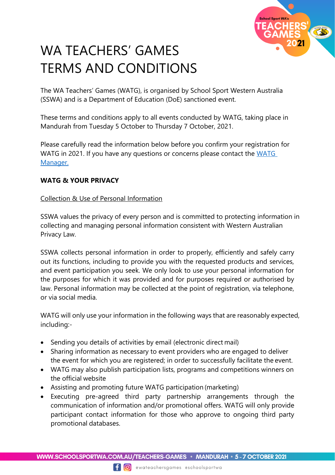

# WA TEACHERS' GAMES TERMS AND CONDITIONS

The WA Teachers' Games (WATG), is organised by School Sport Western Australia (SSWA) and is a Department of Education (DoE) sanctioned event.

These terms and conditions apply to all events conducted by WATG, taking place in Mandurah from Tuesday 5 October to Thursday 7 October, 2021.

Please carefully read the information below before you confirm your registration for WATG in 2021. If you have any questions or concerns please contact the [WATG](mailto:robyn.brierley@education.wa.edu.au)  [Manager.](mailto:robyn.brierley@education.wa.edu.au)

## **WATG & YOUR PRIVACY**

## Collection & Use of Personal Information

SSWA values the privacy of every person and is committed to protecting information in collecting and managing personal information consistent with Western Australian Privacy Law.

SSWA collects personal information in order to properly, efficiently and safely carry out its functions, including to provide you with the requested products and services, and event participation you seek. We only look to use your personal information for the purposes for which it was provided and for purposes required or authorised by law. Personal information may be collected at the point of registration, via telephone, or via social media.

WATG will only use your information in the following ways that are reasonably expected, including:-

- Sending you details of activities by email (electronic direct mail)
- Sharing information as necessary to event providers who are engaged to deliver the event for which you are registered; in order to successfully facilitate the event.
- WATG may also publish participation lists, programs and competitions winners on the official website
- Assisting and promoting future WATG participation (marketing)
- Executing pre-agreed third party partnership arrangements through the communication of information and/or promotional offers. WATG will only provide participant contact information for those who approve to ongoing third party promotional databases.

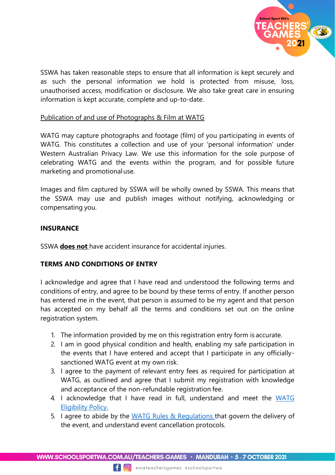

SSWA has taken reasonable steps to ensure that all information is kept securely and as such the personal information we hold is protected from misuse, loss, unauthorised access, modification or disclosure. We also take great care in ensuring information is kept accurate, complete and up-to-date.

#### Publication of and use of Photographs & Film at WATG

WATG may capture photographs and footage (film) of you participating in events of WATG. This constitutes a collection and use of your 'personal information' under Western Australian Privacy Law. We use this information for the sole purpose of celebrating WATG and the events within the program, and for possible future marketing and promotionaluse.

Images and film captured by SSWA will be wholly owned by SSWA. This means that the SSWA may use and publish images without notifying, acknowledging or compensating you.

#### **INSURANCE**

SSWA **does not** have accident insurance for accidental injuries.

## **TERMS AND CONDITIONS OF ENTRY**

I acknowledge and agree that I have read and understood the following terms and conditions of entry, and agree to be bound by these terms of entry. If another person has entered me in the event, that person is assumed to be my agent and that person has accepted on my behalf all the terms and conditions set out on the online registration system.

- 1. The information provided by me on this registration entry form is accurate.
- 2. I am in good physical condition and health, enabling my safe participation in the events that I have entered and accept that I participate in any officiallysanctioned WATG event at my own risk.
- 3. I agree to the payment of relevant entry fees as required for participation at WATG, as outlined and agree that I submit my registration with knowledge and acceptance of the non-refundable registration fee.
- 4. I acknowledge that I have read in full, understand and meet the WATG [Eligibility Policy.](https://www.schoolsportwa.com.au/wp-content/uploads/2021/02/Eligibility-Policy.pdf)
- 5. I agree to abide by the WATG Rules & [Regulations](https://www.schoolsportwa.com.au/wp-content/uploads/2021/02/Rules-and-Regulations.pdf) that govern the delivery of the event, and understand event cancellation protocols.

WWW.SCHOOLSPORTWA.COM.AU/TEACHERS-GAMES • MANDURAH • 5-7 OCTOBER 2021